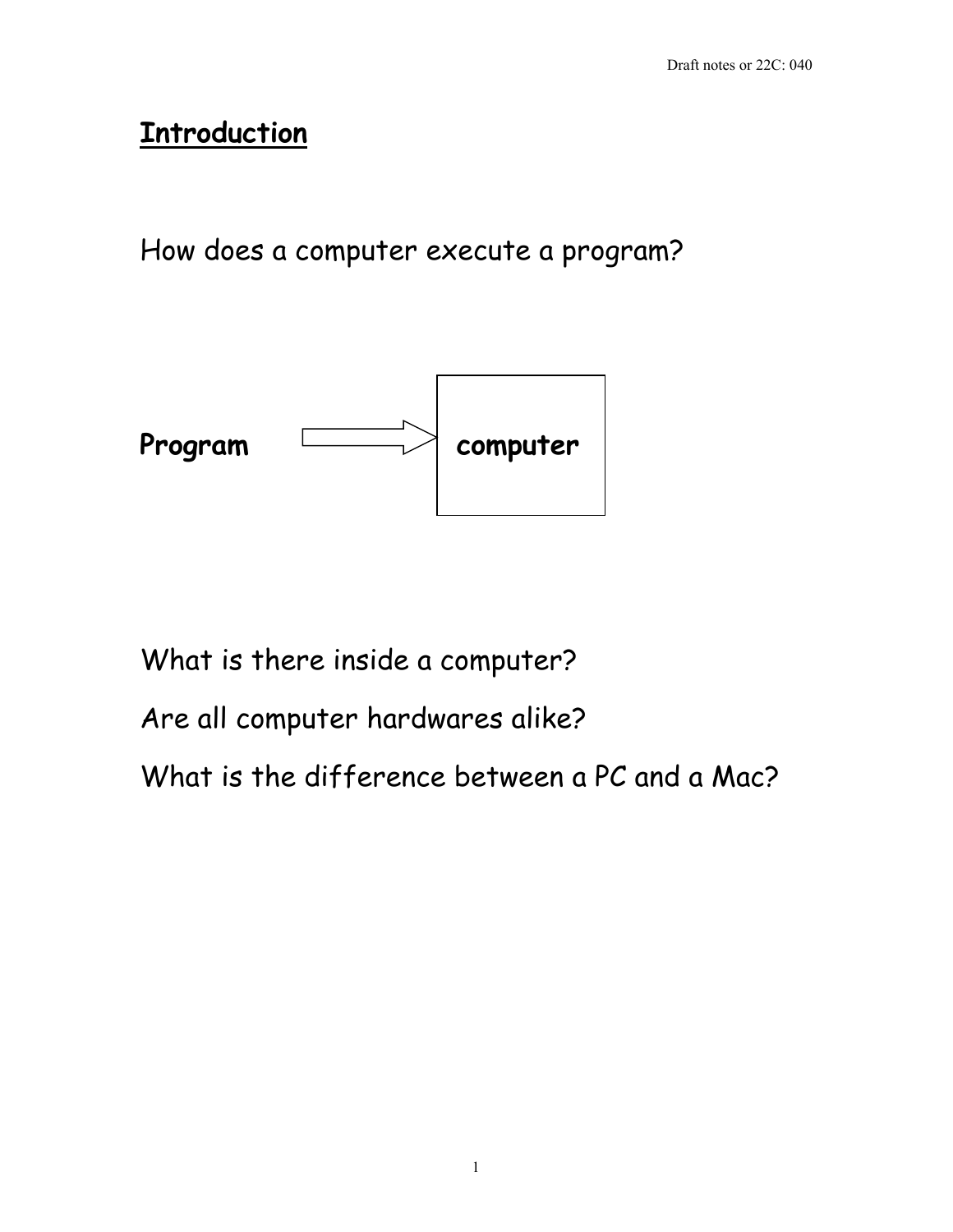# **Introduction**

How does a computer execute a program?



What is there inside a computer?

Are all computer hardwares alike?

What is the difference between a PC and a Mac?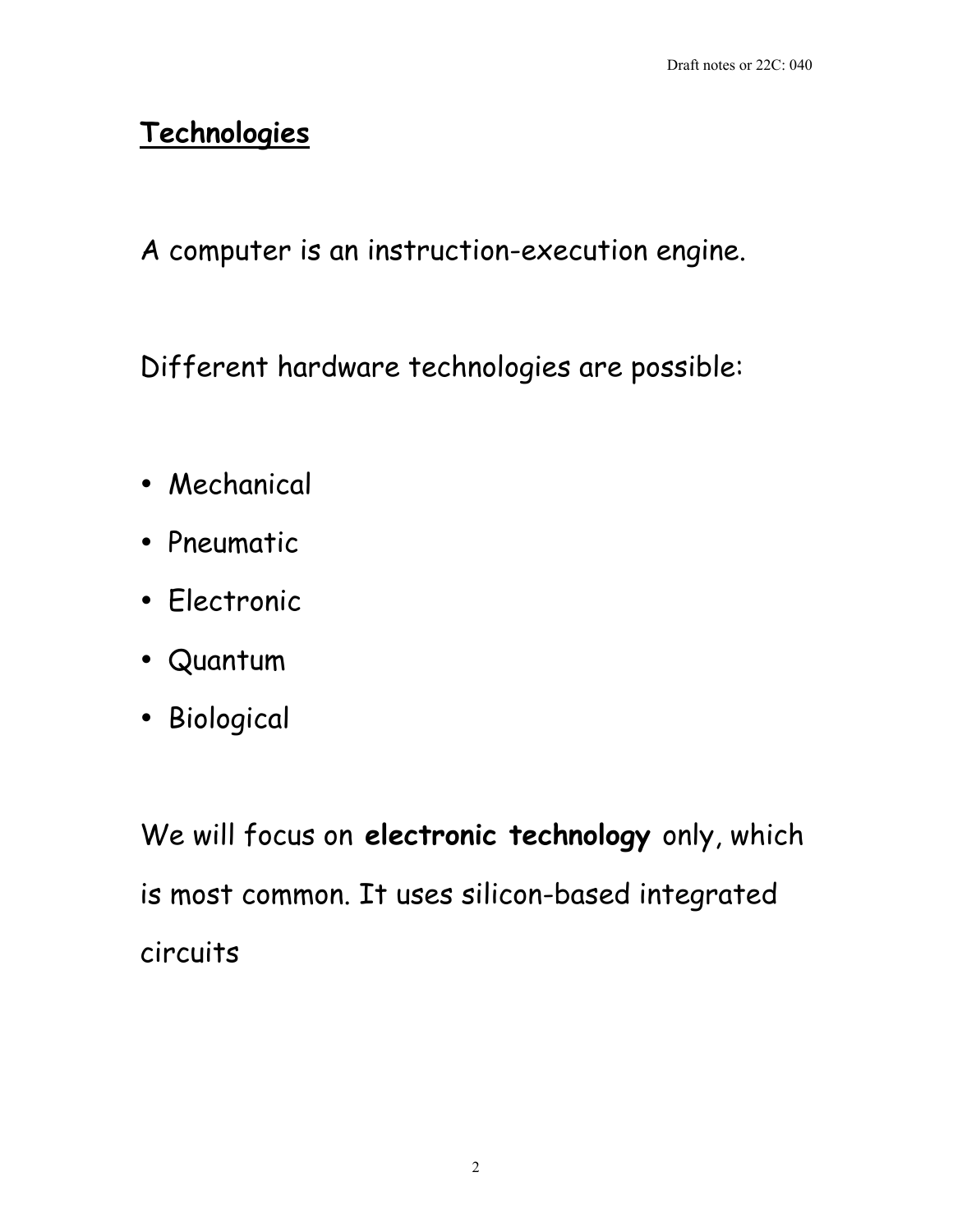# **Technologies**

A computer is an instruction-execution engine.

Different hardware technologies are possible:

Mechanical

Pneumatic

Electronic

Quantum

Biological

We will focus on **electronic technology** only, which is most common. It uses silicon-based integrated circuits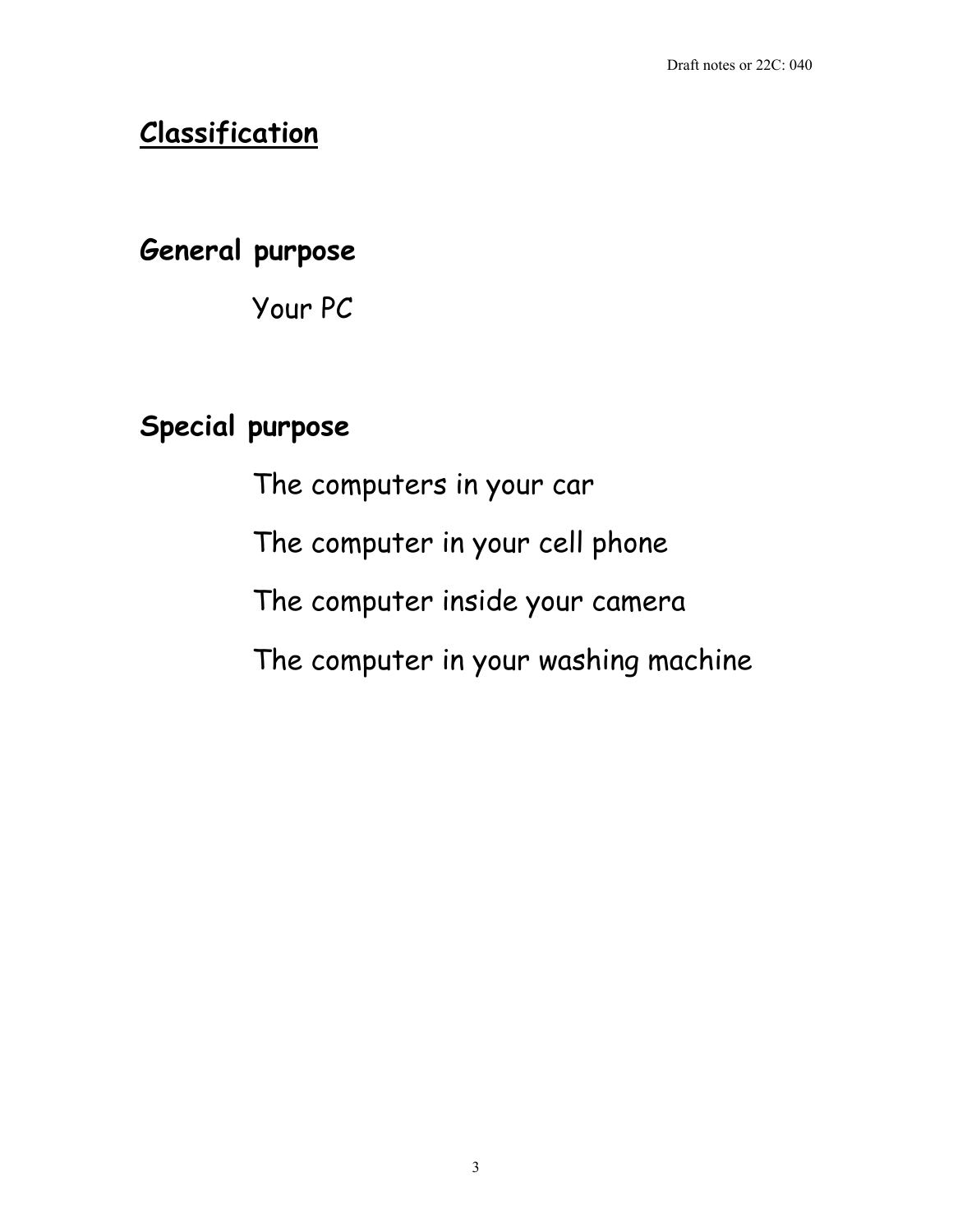## **Classification**

**General purpose**

Your PC

## **Special purpose**

The computers in your car

The computer in your cell phone

The computer inside your camera

The computer in your washing machine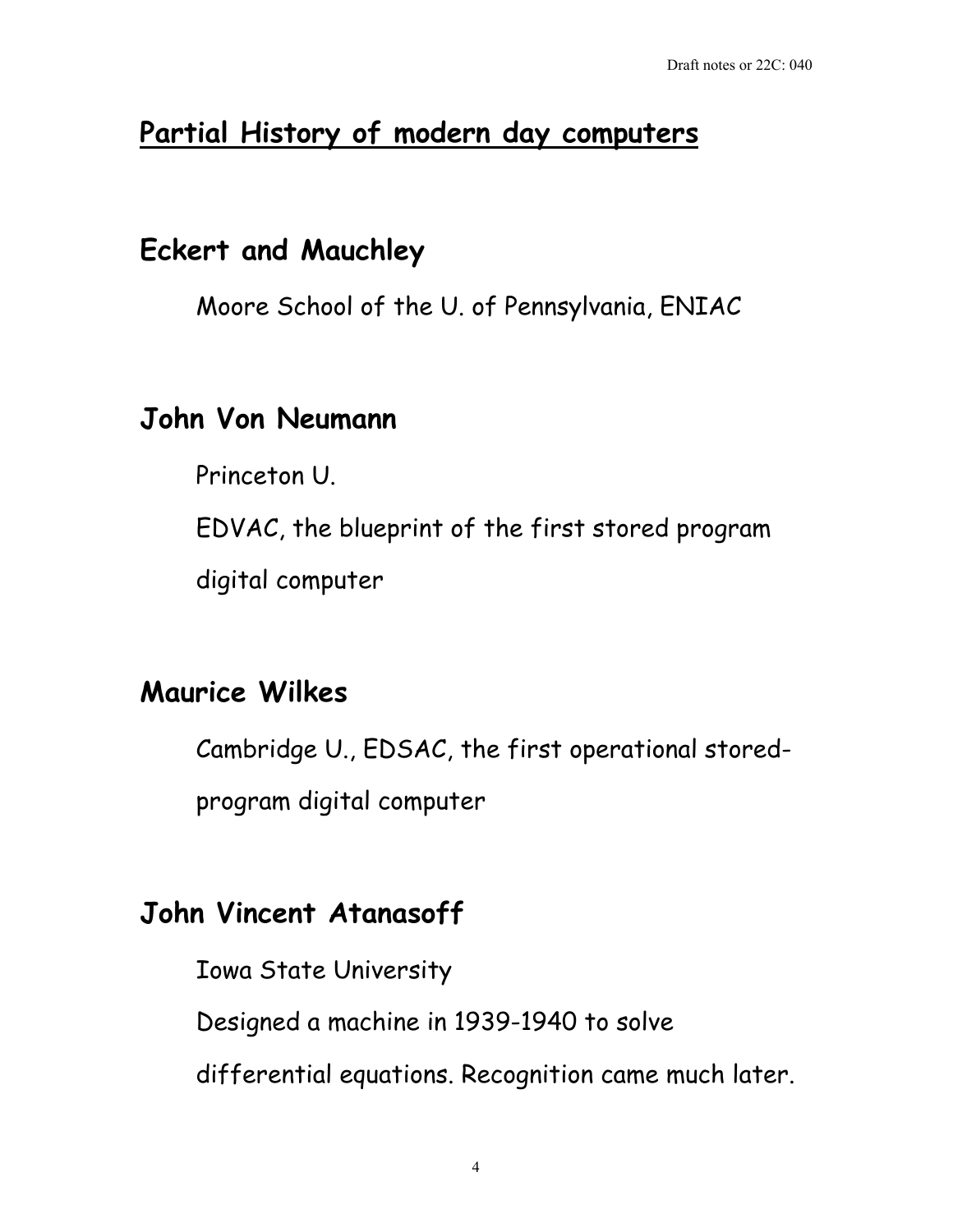# **Partial History of modern day computers**

## **Eckert and Mauchley**

Moore School of the U. of Pennsylvania, ENIAC

### **John Von Neumann**

Princeton U.

EDVAC, the blueprint of the first stored program digital computer

### **Maurice Wilkes**

Cambridge U., EDSAC, the first operational stored-

program digital computer

# **John Vincent Atanasoff**

Iowa State University Designed a machine in 1939-1940 to solve differential equations. Recognition came much later.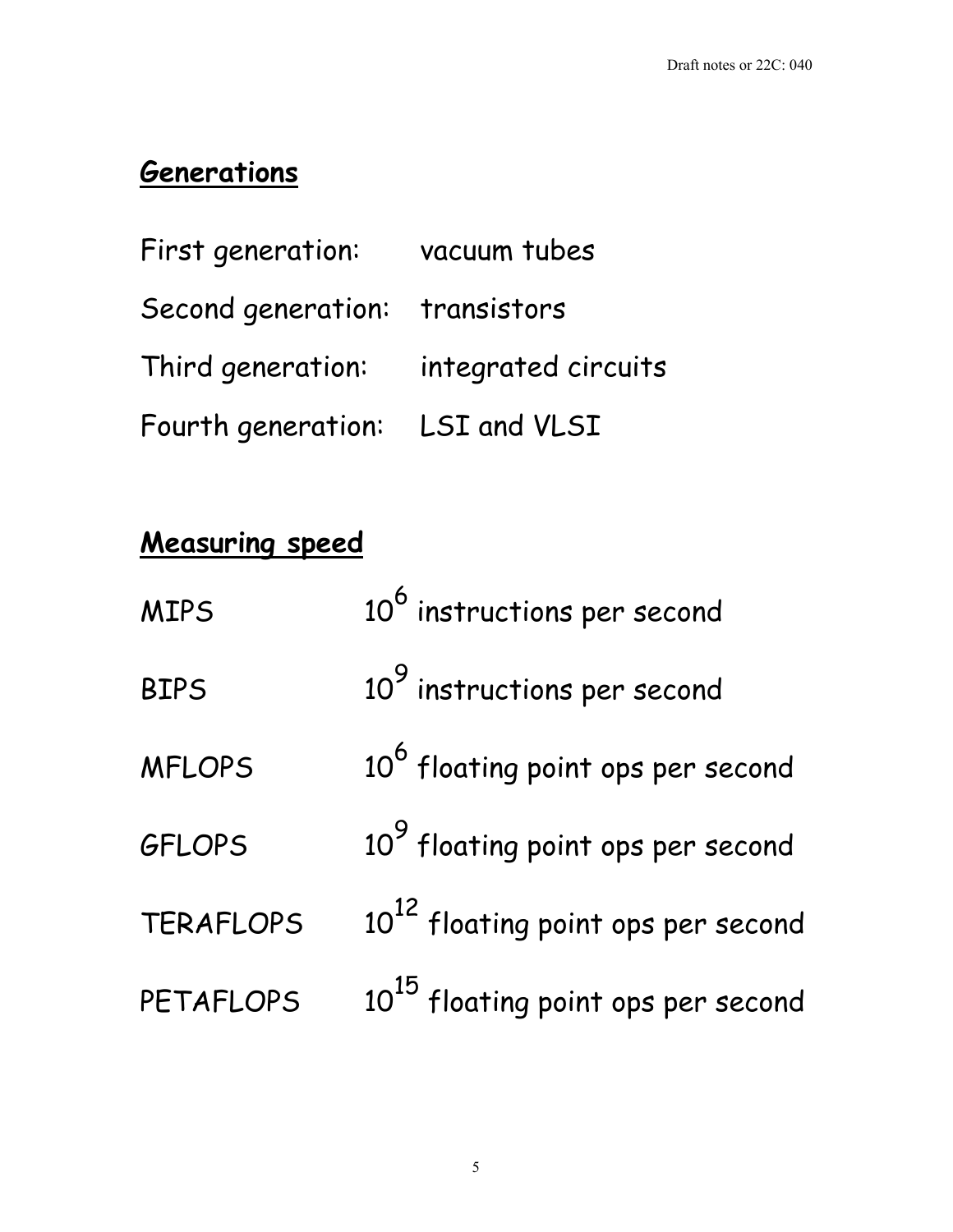## **Generations**

| First generation: vacuum tubes        |  |
|---------------------------------------|--|
| Second generation: transistors        |  |
| Third generation: integrated circuits |  |
| Fourth generation: LSI and VLSI       |  |

# **Measuring speed**

| <b>MIPS</b>      | 10 <sup>6</sup> instructions per second        |
|------------------|------------------------------------------------|
| <b>BIPS</b>      | 10 <sup>9</sup> instructions per second        |
| <b>MFLOPS</b>    | 10 <sup>6</sup> floating point ops per second  |
| <b>GFLOPS</b>    | 10 <sup>9</sup> floating point ops per second  |
| <b>TERAFLOPS</b> | 10 <sup>12</sup> floating point ops per second |
| PETAFLOPS        | 10 <sup>15</sup> floating point ops per second |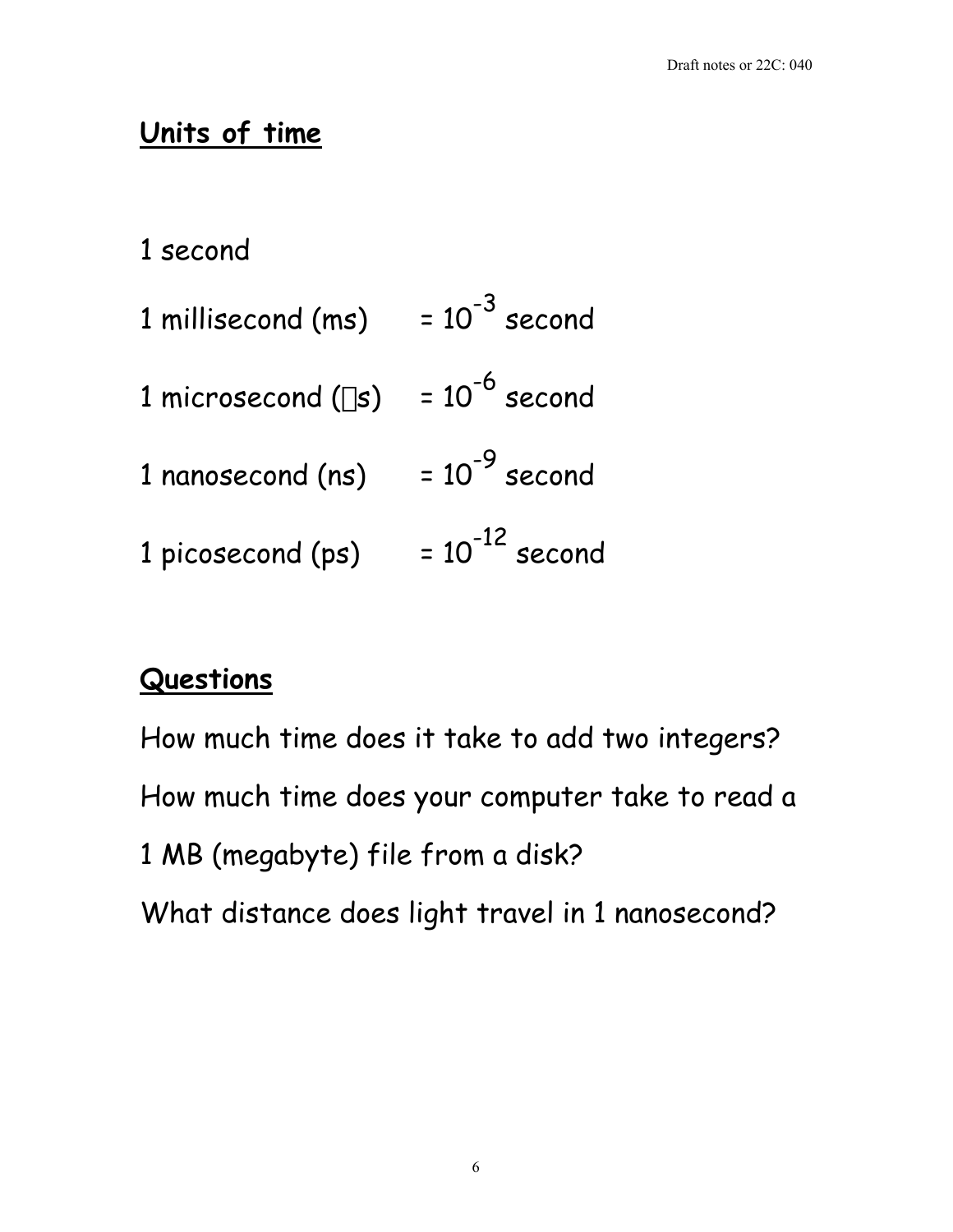# **Units of time**

1 second

| 1 millisecond (ms) | $= 10^{-3}$ second  |
|--------------------|---------------------|
| 1 microsecond (us) | $= 10^{-6}$ second  |
| 1 nanosecond (ns)  | $= 10^{-9}$ second  |
| 1 picosecond (ps)  | $= 10^{-12}$ second |

## **Questions**

How much time does it take to add two integers? How much time does your computer take to read a 1 MB (megabyte) file from a disk? What distance does light travel in 1 nanosecond?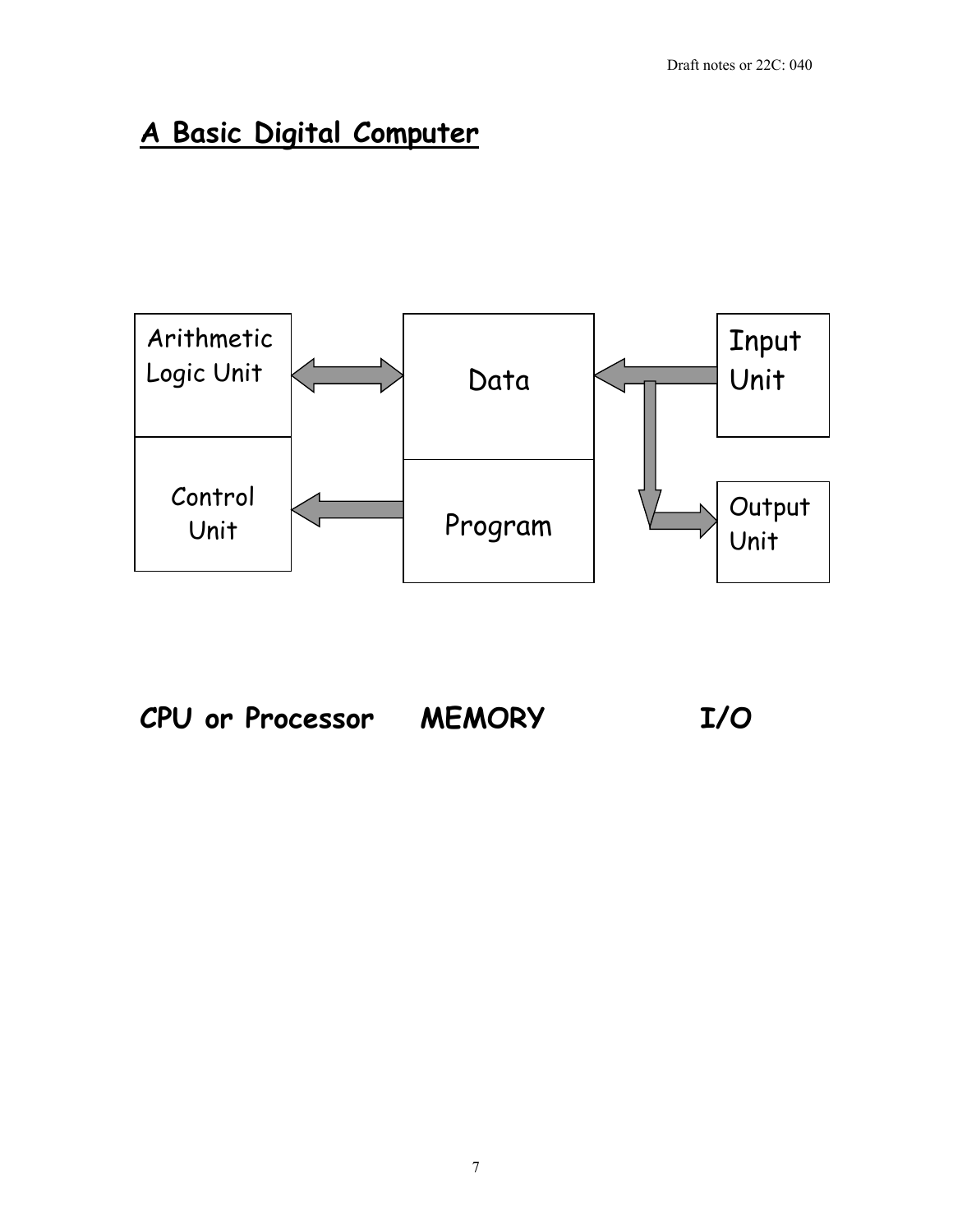# **A Basic Digital Computer**



**CPU or Processor MEMORY I/O**

7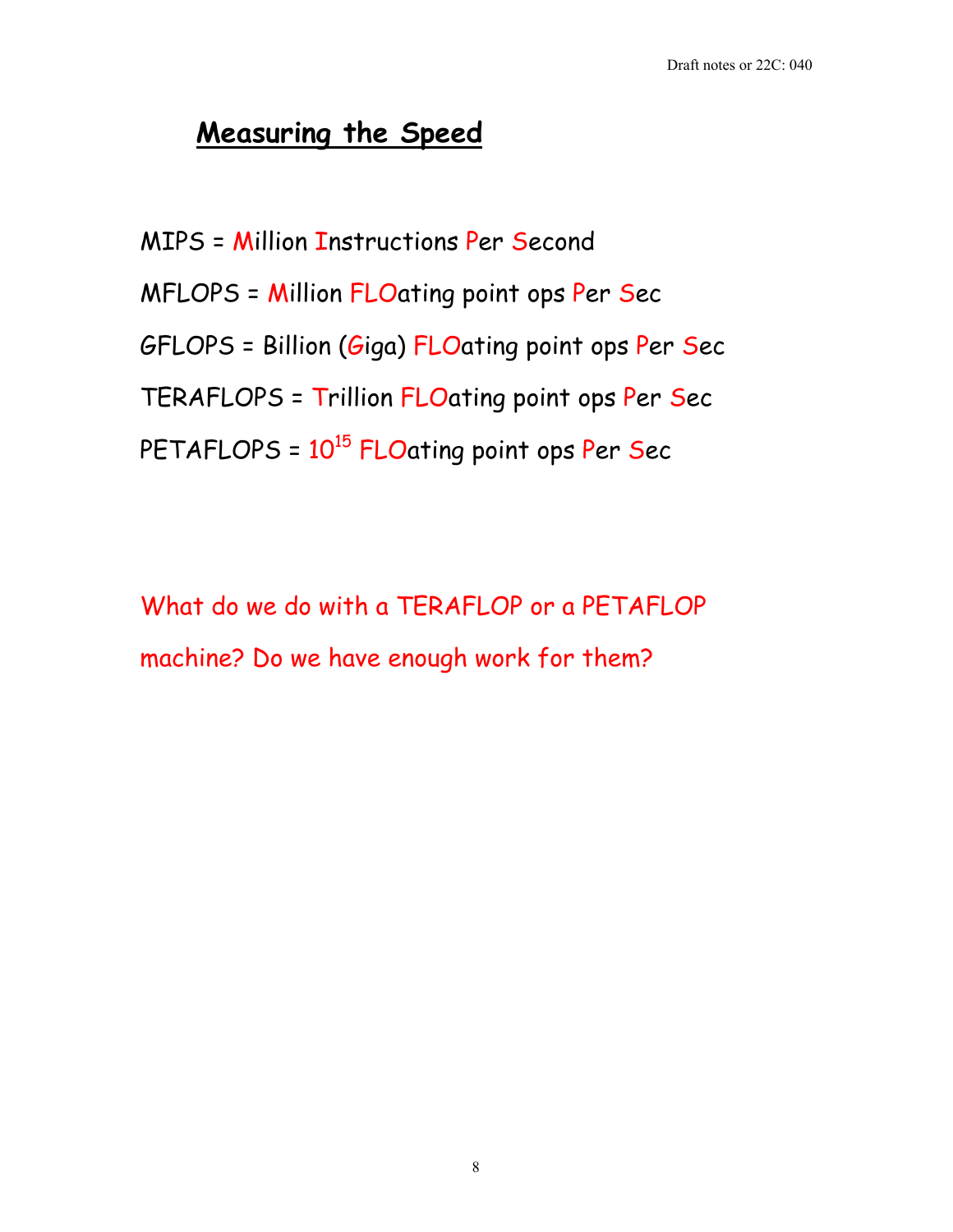## **Measuring the Speed**

MIPS = Million Instructions Per Second

MFLOPS = Million FLOating point ops Per Sec

GFLOPS = Billion (Giga) FLOating point ops Per Sec

TERAFLOPS = Trillion FLOating point ops Per Sec

PETAFLOPS =  $10^{15}$  FLOating point ops Per Sec

What do we do with a TERAFLOP or a PETAFLOP machine? Do we have enough work for them?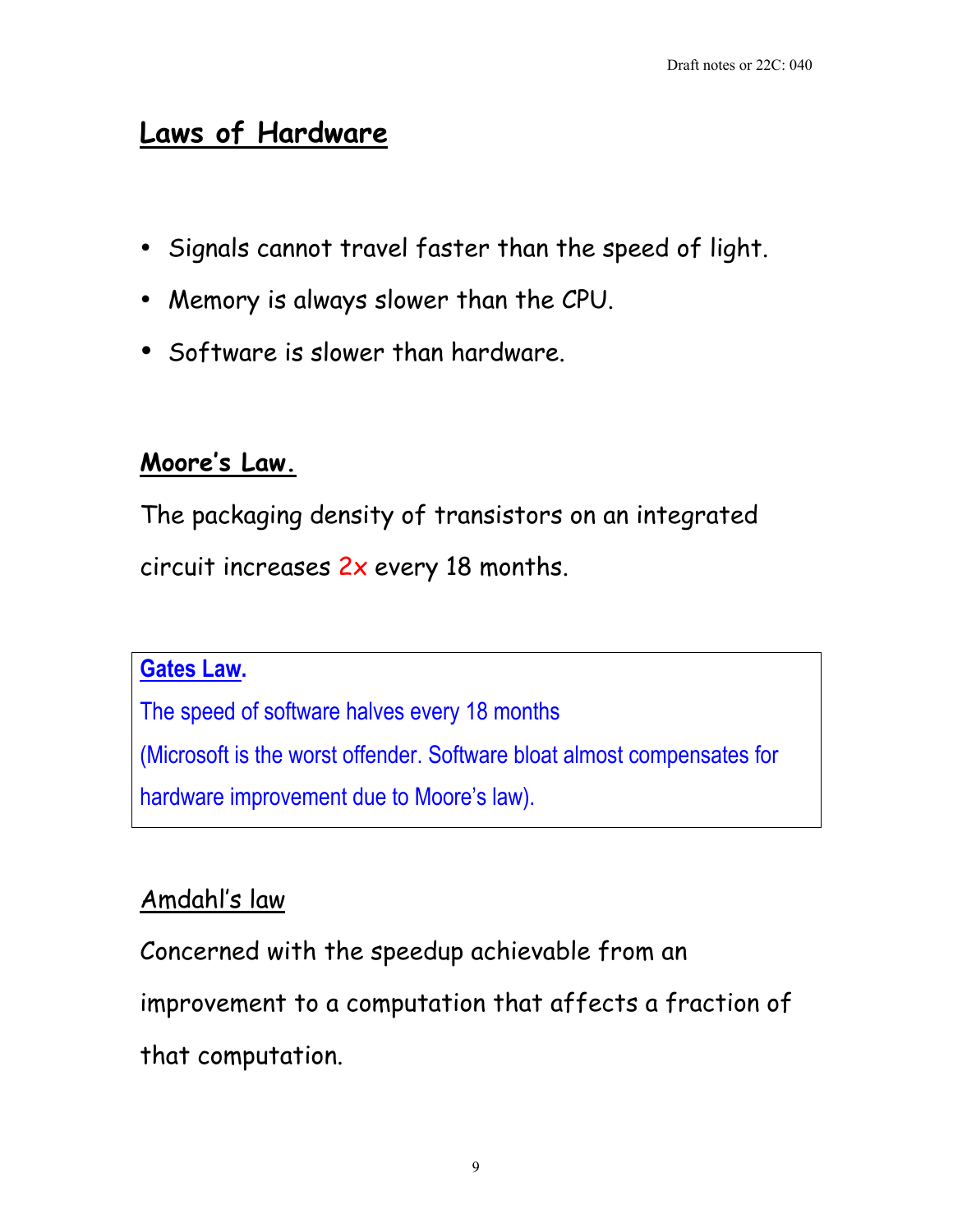## **Laws of Hardware**

Signals cannot travel faster than the speed of light.

Memory is always slower than the CPU.

Software is slower than hardware.

#### **Moore's Law.**

The packaging density of transistors on an integrated circuit increases 2x every 18 months.

#### **Gates Law.**

The speed of software halves every 18 months (Microsoft is the worst offender. Software bloat almost compensates for hardware improvement due to Moore's law).

### Amdahl's law

Concerned with the speedup achievable from an

improvement to a computation that affects a fraction of

that computation.